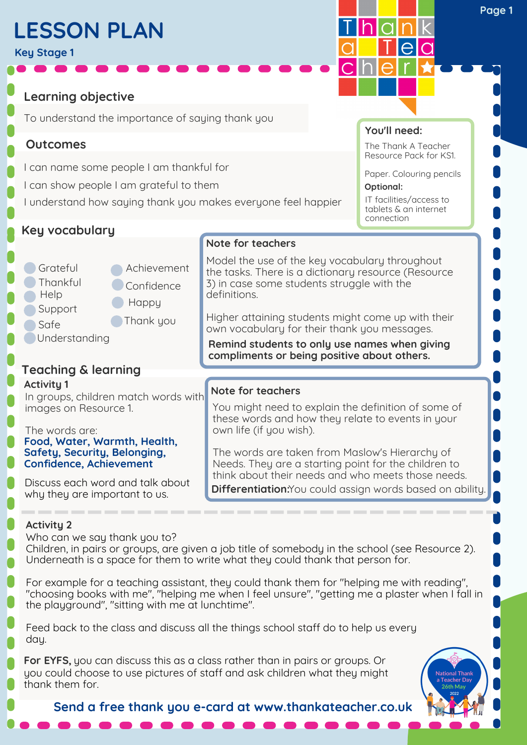# **LESSON PLAN**

**Key Stage 1**

**Learning objective**

To understand the importance of saying thank you

**Thank** you

**C** Happy

Achievement

Confidence

## **Outcomes**

- I can name some people I am thankful for
- I can show people I am grateful to them
- I understand how saying thank you makes everyone feel happier

## **Key vocabulary**

**Grateful Thankful** 

**Help** 

**Activity 1**

Support **Safe** 

**Understanding** 

**Teaching & learning**

images on Resource 1.

The words are:

### **Note for teachers**

Model the use of the key vocabulary throughout the tasks. There is a dictionary resource (Resource 3) in case some students struggle with the definitions.

**You'll need:**

hlaln

**Optional:**

connection

The Thank A Teacher Resource Pack for KS1.

Paper. Colouring pencils

IT facilities/access to tablets & an internet

Higher attaining students might come up with their own vocabulary for their thank you messages.

**Remind students to only use names when giving compliments or being positive about others.**

#### In groups, children match words with **Note for teachers**

You might need to explain the definition of some of these words and how they relate to events in your own life (if you wish).

The words are taken from Maslow's Hierarchy of Needs. They are a starting point for the children to think about their needs and who meets those needs. **Differentiation:**You could assign words based on ability.

### **Activity 2**

Who can we say thank you to?

**Food, Water, Warmth, Health, Safety, Security, Belonging, Confidence, Achievement**

Discuss each word and talk about why they are important to us.

Children, in pairs or groups, are given a job title of somebody in the school (see Resource 2). Underneath is a space for them to write what they could thank that person for.

For example for a teaching assistant, they could thank them for "helping me with reading", "choosing books with me", "helping me when I feel unsure", "getting me a plaster when I fall in the playground", "sitting with me at lunchtime".

Feed back to the class and discuss all the things school staff do to help us every day.

**For EYFS,** you can discuss this as a class rather than in pairs or groups. Or you could choose to use pictures of staff and ask children what they might thank them for.

**Send a free thank you e-card at www.thankateacher.co.uk**

**Page 1**